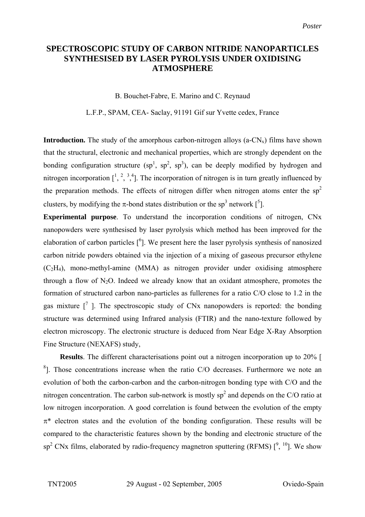## **SPECTROSCOPIC STUDY OF CARBON NITRIDE NANOPARTICLES SYNTHESISED BY LASER PYROLYSIS UNDER OXIDISING ATMOSPHERE**

B. Bouchet-Fabre, E. Marino and C. Reynaud

L.F.P., SPAM, CEA- Saclay, 91191 Gif sur Yvette cedex, France

**Introduction.** The study of the amorphous carbon-nitrogen alloys  $(a-CN_x)$  films have shown that the structural, electronic and mechanical properties, which are strongly dependent on the bonding configuration structure  $(sp^1, sp^2, sp^3)$ , can be deeply modified by hydrogen and nitrogen incorporation  $\begin{bmatrix} 1 & 2 & 3 & 4 \\ 1 & 1 & 5 & 6 \end{bmatrix}$  $\begin{bmatrix} 1 & 2 & 3 & 4 \\ 1 & 1 & 5 & 6 \end{bmatrix}$  $\begin{bmatrix} 1 & 2 & 3 & 4 \\ 1 & 1 & 5 & 6 \end{bmatrix}$ . The incorporation of nitrogen is in turn greatly influenced by the preparation methods. The effects of nitrogen differ when nitrogen atoms enter the  $sp<sup>2</sup>$ clusters, by modifying the  $\pi$ -bond states distribution or the sp<sup>3</sup> network [<sup>5</sup>].

**Experimental purpose**. To understand the incorporation conditions of nitrogen, CNx nanopowders were synthesised by laser pyrolysis which method has been improved for the elaboration of carbon particles  $[6]$  $[6]$ . We present here the laser pyrolysis synthesis of nanosized carbon nitride powders obtained via the injection of a mixing of gaseous precursor ethylene  $(C_2H_4)$ , mono-methyl-amine (MMA) as nitrogen provider under oxidising atmosphere through a flow of  $N_2O$ . Indeed we already know that an oxidant atmosphere, promotes the formation of structured carbon nano-particles as fullerenes for a ratio C/O close to 1.2 in the gas mixture  $\begin{bmatrix} 7 \end{bmatrix}$  $\begin{bmatrix} 7 \end{bmatrix}$  $\begin{bmatrix} 7 \end{bmatrix}$ . The spectroscopic study of CNx nanopowders is reported: the bonding structure was determined using Infrared analysis (FTIR) and the nano-texture followed by electron microscopy. The electronic structure is deduced from Near Edge X-Ray Absorption Fine Structure (NEXAFS) study,

**Results**. The different characterisations point out a nitrogen incorporation up to 20% [  $8$ ]. Those concentrations increase when the ratio C/O decreases. Furthermore we note an evolution of both the carbon-carbon and the carbon-nitrogen bonding type with C/O and the nitrogen concentration. The carbon sub-network is mostly  $sp<sup>2</sup>$  and depends on the C/O ratio at low nitrogen incorporation. A good correlation is found between the evolution of the empty  $\pi^*$  electron states and the evolution of the bonding configuration. These results will be compared to the characteristic features shown by the bonding and electronic structure of the sp<sup>2</sup> CNx films, elaborated by radio-frequency magnetron sputtering (RFMS)  $[9, 10]$  $[9, 10]$  $[9, 10]$  $[9, 10]$ . We show